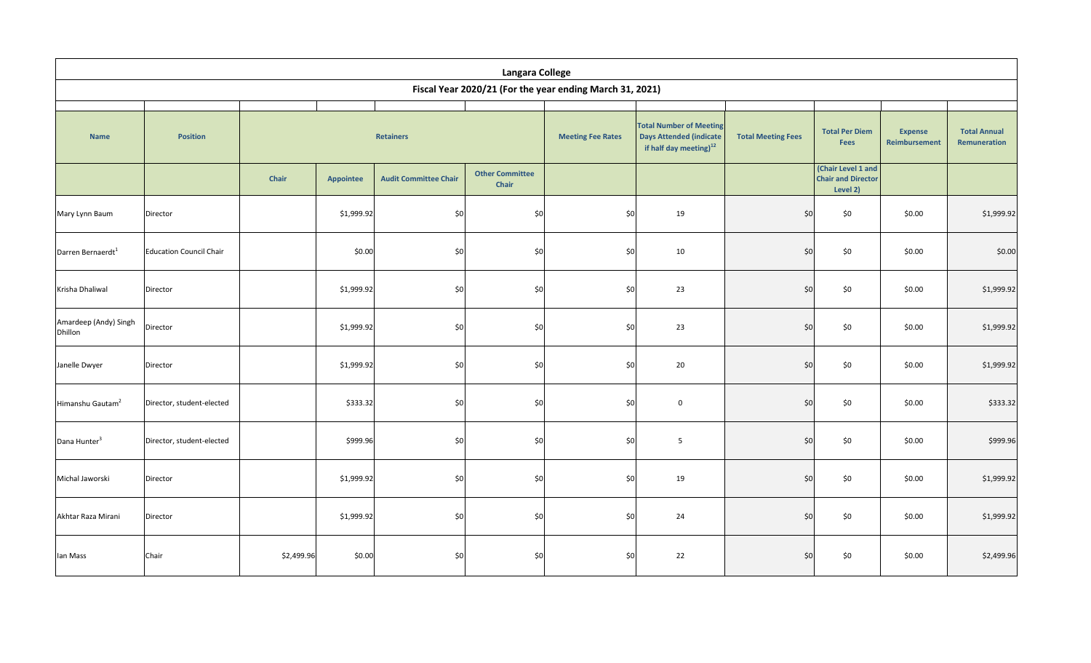| <b>Langara College</b><br>Fiscal Year 2020/21 (For the year ending March 31, 2021) |                                |                  |            |                              |                                 |                          |                                                                                                        |                           |                                                             |                                 |                                     |
|------------------------------------------------------------------------------------|--------------------------------|------------------|------------|------------------------------|---------------------------------|--------------------------|--------------------------------------------------------------------------------------------------------|---------------------------|-------------------------------------------------------------|---------------------------------|-------------------------------------|
|                                                                                    |                                |                  |            |                              |                                 |                          |                                                                                                        |                           |                                                             |                                 |                                     |
| <b>Name</b>                                                                        | <b>Position</b>                | <b>Retainers</b> |            |                              |                                 | <b>Meeting Fee Rates</b> | <b>Total Number of Meeting</b><br><b>Days Attended (indicate</b><br>if half day meeting) <sup>12</sup> | <b>Total Meeting Fees</b> | <b>Total Per Diem</b><br><b>Fees</b>                        | <b>Expense</b><br>Reimbursement | <b>Total Annual</b><br>Remuneration |
|                                                                                    |                                | Chair            | Appointee  | <b>Audit Committee Chair</b> | <b>Other Committee</b><br>Chair |                          |                                                                                                        |                           | (Chair Level 1 and<br><b>Chair and Director</b><br>Level 2) |                                 |                                     |
| Mary Lynn Baum                                                                     | Director                       |                  | \$1,999.92 | \$0                          | \$0                             | \$0                      | 19                                                                                                     | \$0                       | \$0                                                         | \$0.00                          | \$1,999.92                          |
| Darren Bernaerdt <sup>1</sup>                                                      | <b>Education Council Chair</b> |                  | \$0.00     | \$0                          | \$0                             | \$0                      | 10                                                                                                     | \$0                       | \$0                                                         | \$0.00                          | \$0.00                              |
| Krisha Dhaliwal                                                                    | Director                       |                  | \$1,999.92 | \$0                          | \$0                             | \$0                      | 23                                                                                                     | \$0                       | \$0                                                         | \$0.00                          | \$1,999.92                          |
| Amardeep (Andy) Singh<br>Dhillon                                                   | Director                       |                  | \$1,999.92 | \$0                          | \$0                             | \$0                      | 23                                                                                                     | \$0                       | \$0                                                         | \$0.00                          | \$1,999.92                          |
| Janelle Dwyer                                                                      | Director                       |                  | \$1,999.92 | \$0                          | \$0                             | \$0                      | 20                                                                                                     | \$0                       | \$0                                                         | \$0.00                          | \$1,999.92                          |
| Himanshu Gautam <sup>2</sup>                                                       | Director, student-elected      |                  | \$333.32   | \$0                          | \$0                             | \$0                      | $\mathbf 0$                                                                                            | \$0                       | \$0                                                         | \$0.00                          | \$333.32                            |
| Dana Hunter <sup>3</sup>                                                           | Director, student-elected      |                  | \$999.96   | \$0                          | \$0                             | \$0                      | 5                                                                                                      | \$0                       | \$0                                                         | \$0.00                          | \$999.96                            |
| Michal Jaworski                                                                    | Director                       |                  | \$1,999.92 | \$0                          | \$0                             | \$0                      | 19                                                                                                     | \$0                       | \$0                                                         | \$0.00                          | \$1,999.92                          |
| Akhtar Raza Mirani                                                                 | Director                       |                  | \$1,999.92 | \$0                          | \$0                             | \$0                      | 24                                                                                                     | \$0                       | \$0                                                         | \$0.00                          | \$1,999.92                          |
| lan Mass                                                                           | Chair                          | \$2,499.96       | \$0.00     | \$0                          | \$0                             | \$0                      | 22                                                                                                     | \$0                       | \$0                                                         | \$0.00                          | \$2,499.96                          |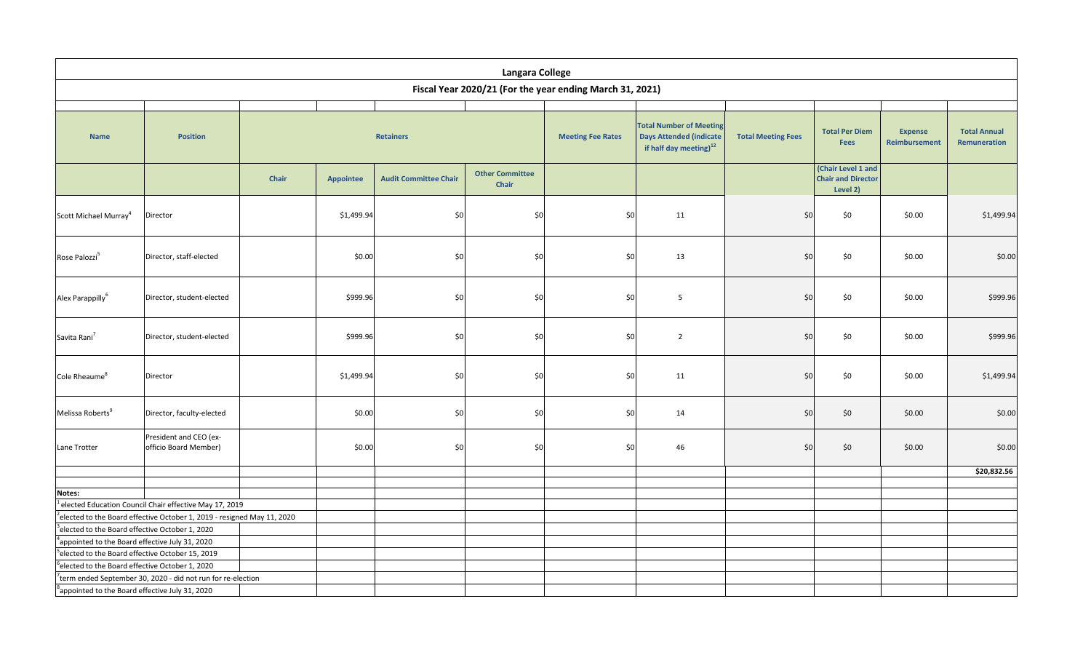| Fiscal Year 2020/21 (For the year ending March 31, 2021)<br><b>Total Number of Meeting</b><br><b>Total Per Diem</b><br><b>Expense</b><br><b>Days Attended (indicate</b><br><b>Position</b><br><b>Retainers</b><br><b>Meeting Fee Rates</b><br><b>Total Meeting Fees</b><br><b>Name</b><br>Fees<br>Reimbursement<br>if half day meeting) <sup>12</sup><br>(Chair Level 1 and<br><b>Other Committee</b><br>Chair<br><b>Chair and Director</b><br><b>Audit Committee Chair</b><br><b>Appointee</b><br>Chair<br>Level 2)<br>$$0$<br>\$0<br>\$0<br>\$0<br>\$0<br>Director<br>\$1,499.94<br>11<br>\$0.00<br>Scott Michael Murray <sup>4</sup><br>\$0<br>$$0$<br>\$0<br>Director, staff-elected<br>\$0.00<br>\$0<br>13<br>\$0<br>\$0.00<br>Rose Palozzi <sup>5</sup><br>\$999.96<br>\$0<br>\$0<br>\$0<br>5<br>\$0<br>\$0<br>\$0.00<br>Alex Parappilly <sup>6</sup><br>Director, student-elected<br>$\$0$<br>\$999.96<br>\$0<br>\$0<br>\$0<br>\$0<br>Director, student-elected<br>$\overline{2}$<br>\$0.00<br>\$0<br>\$1,499.94<br>\$0<br>\$0<br>11<br>\$0<br>\$0<br>\$0.00<br>Cole Rheaume <sup>8</sup><br>Director<br>\$0<br>Melissa Roberts <sup>9</sup><br>Director, faculty-elected<br>\$0.00<br>\$0<br>\$0<br>14<br>\$0<br>\$0<br>\$0.00<br>President and CEO (ex-<br>officio Board Member)<br>\$0.00<br>\$0<br>\$0<br>\$0<br>46<br>\$0<br>\$0<br>\$0.00<br>Lane Trotter |                                                              |  |  |  |  |             |                                     |  |            |
|------------------------------------------------------------------------------------------------------------------------------------------------------------------------------------------------------------------------------------------------------------------------------------------------------------------------------------------------------------------------------------------------------------------------------------------------------------------------------------------------------------------------------------------------------------------------------------------------------------------------------------------------------------------------------------------------------------------------------------------------------------------------------------------------------------------------------------------------------------------------------------------------------------------------------------------------------------------------------------------------------------------------------------------------------------------------------------------------------------------------------------------------------------------------------------------------------------------------------------------------------------------------------------------------------------------------------------------------------------------------|--------------------------------------------------------------|--|--|--|--|-------------|-------------------------------------|--|------------|
|                                                                                                                                                                                                                                                                                                                                                                                                                                                                                                                                                                                                                                                                                                                                                                                                                                                                                                                                                                                                                                                                                                                                                                                                                                                                                                                                                                        |                                                              |  |  |  |  |             |                                     |  |            |
| Savita Rani <sup>7</sup>                                                                                                                                                                                                                                                                                                                                                                                                                                                                                                                                                                                                                                                                                                                                                                                                                                                                                                                                                                                                                                                                                                                                                                                                                                                                                                                                               |                                                              |  |  |  |  |             | <b>Total Annual</b><br>Remuneration |  |            |
|                                                                                                                                                                                                                                                                                                                                                                                                                                                                                                                                                                                                                                                                                                                                                                                                                                                                                                                                                                                                                                                                                                                                                                                                                                                                                                                                                                        |                                                              |  |  |  |  |             |                                     |  |            |
|                                                                                                                                                                                                                                                                                                                                                                                                                                                                                                                                                                                                                                                                                                                                                                                                                                                                                                                                                                                                                                                                                                                                                                                                                                                                                                                                                                        |                                                              |  |  |  |  |             |                                     |  | \$1,499.94 |
|                                                                                                                                                                                                                                                                                                                                                                                                                                                                                                                                                                                                                                                                                                                                                                                                                                                                                                                                                                                                                                                                                                                                                                                                                                                                                                                                                                        |                                                              |  |  |  |  |             |                                     |  | \$0.00     |
|                                                                                                                                                                                                                                                                                                                                                                                                                                                                                                                                                                                                                                                                                                                                                                                                                                                                                                                                                                                                                                                                                                                                                                                                                                                                                                                                                                        |                                                              |  |  |  |  |             |                                     |  | \$999.96   |
|                                                                                                                                                                                                                                                                                                                                                                                                                                                                                                                                                                                                                                                                                                                                                                                                                                                                                                                                                                                                                                                                                                                                                                                                                                                                                                                                                                        |                                                              |  |  |  |  |             | \$999.96                            |  |            |
|                                                                                                                                                                                                                                                                                                                                                                                                                                                                                                                                                                                                                                                                                                                                                                                                                                                                                                                                                                                                                                                                                                                                                                                                                                                                                                                                                                        |                                                              |  |  |  |  |             |                                     |  | \$1,499.94 |
|                                                                                                                                                                                                                                                                                                                                                                                                                                                                                                                                                                                                                                                                                                                                                                                                                                                                                                                                                                                                                                                                                                                                                                                                                                                                                                                                                                        |                                                              |  |  |  |  |             |                                     |  | \$0.00     |
|                                                                                                                                                                                                                                                                                                                                                                                                                                                                                                                                                                                                                                                                                                                                                                                                                                                                                                                                                                                                                                                                                                                                                                                                                                                                                                                                                                        |                                                              |  |  |  |  |             |                                     |  | \$0.00     |
|                                                                                                                                                                                                                                                                                                                                                                                                                                                                                                                                                                                                                                                                                                                                                                                                                                                                                                                                                                                                                                                                                                                                                                                                                                                                                                                                                                        |                                                              |  |  |  |  | \$20,832.56 |                                     |  |            |
| Notes:                                                                                                                                                                                                                                                                                                                                                                                                                                                                                                                                                                                                                                                                                                                                                                                                                                                                                                                                                                                                                                                                                                                                                                                                                                                                                                                                                                 |                                                              |  |  |  |  |             |                                     |  |            |
| $1$ elected Education Council Chair effective May 17, 2019                                                                                                                                                                                                                                                                                                                                                                                                                                                                                                                                                                                                                                                                                                                                                                                                                                                                                                                                                                                                                                                                                                                                                                                                                                                                                                             |                                                              |  |  |  |  |             |                                     |  |            |
| $1$ <sup>2</sup> elected to the Board effective October 1, 2019 - resigned May 11, 2020                                                                                                                                                                                                                                                                                                                                                                                                                                                                                                                                                                                                                                                                                                                                                                                                                                                                                                                                                                                                                                                                                                                                                                                                                                                                                |                                                              |  |  |  |  |             |                                     |  |            |
| elected to the Board effective October 1, 2020                                                                                                                                                                                                                                                                                                                                                                                                                                                                                                                                                                                                                                                                                                                                                                                                                                                                                                                                                                                                                                                                                                                                                                                                                                                                                                                         |                                                              |  |  |  |  |             |                                     |  |            |
|                                                                                                                                                                                                                                                                                                                                                                                                                                                                                                                                                                                                                                                                                                                                                                                                                                                                                                                                                                                                                                                                                                                                                                                                                                                                                                                                                                        | <sup>4</sup> appointed to the Board effective July 31, 2020  |  |  |  |  |             |                                     |  |            |
|                                                                                                                                                                                                                                                                                                                                                                                                                                                                                                                                                                                                                                                                                                                                                                                                                                                                                                                                                                                                                                                                                                                                                                                                                                                                                                                                                                        | Pelected to the Board effective October 15, 2019             |  |  |  |  |             |                                     |  |            |
|                                                                                                                                                                                                                                                                                                                                                                                                                                                                                                                                                                                                                                                                                                                                                                                                                                                                                                                                                                                                                                                                                                                                                                                                                                                                                                                                                                        | <sup>6</sup> elected to the Board effective October 1, 2020  |  |  |  |  |             |                                     |  |            |
| appointed to the Board effective July 31, 2020                                                                                                                                                                                                                                                                                                                                                                                                                                                                                                                                                                                                                                                                                                                                                                                                                                                                                                                                                                                                                                                                                                                                                                                                                                                                                                                         | 'term ended September 30, 2020 - did not run for re-election |  |  |  |  |             |                                     |  |            |